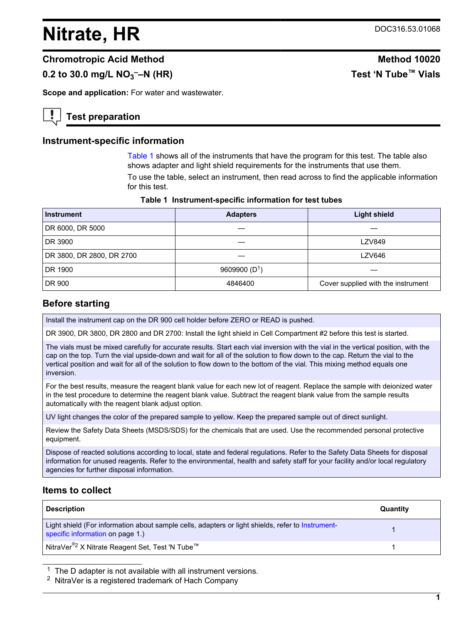# <span id="page-0-0"></span>**Nitrate, HR** DOC316.53.01068

**––N (HR) Test 'N Tube™ Vials**

## **Chromotropic Acid Method Method 10020**

# **0.2 to 30.0 mg/L NO<sup>3</sup>**

**Scope and application:** For water and wastewater.

# **Test preparation**

### **Instrument-specific information**

Table 1 shows all of the instruments that have the program for this test. The table also shows adapter and light shield requirements for the instruments that use them.

To use the table, select an instrument, then read across to find the applicable information for this test.

| <b>Instrument</b>         | <b>Adapters</b> | <b>Light shield</b>                |
|---------------------------|-----------------|------------------------------------|
| DR 6000, DR 5000          |                 |                                    |
| DR 3900                   |                 | <b>LZV849</b>                      |
| DR 3800, DR 2800, DR 2700 |                 | LZV646                             |
| DR 1900                   | 9609900 $(D1)$  |                                    |
| DR 900                    | 4846400         | Cover supplied with the instrument |

## **Before starting**

Install the instrument cap on the DR 900 cell holder before ZERO or READ is pushed.

DR 3900, DR 3800, DR 2800 and DR 2700: Install the light shield in Cell Compartment #2 before this test is started.

The vials must be mixed carefully for accurate results. Start each vial inversion with the vial in the vertical position, with the cap on the top. Turn the vial upside-down and wait for all of the solution to flow down to the cap. Return the vial to the vertical position and wait for all of the solution to flow down to the bottom of the vial. This mixing method equals one inversion.

For the best results, measure the reagent blank value for each new lot of reagent. Replace the sample with deionized water in the test procedure to determine the reagent blank value. Subtract the reagent blank value from the sample results automatically with the reagent blank adjust option.

UV light changes the color of the prepared sample to yellow. Keep the prepared sample out of direct sunlight.

Review the Safety Data Sheets (MSDS/SDS) for the chemicals that are used. Use the recommended personal protective equipment.

Dispose of reacted solutions according to local, state and federal regulations. Refer to the Safety Data Sheets for disposal information for unused reagents. Refer to the environmental, health and safety staff for your facility and/or local regulatory agencies for further disposal information.

# **Items to collect**

| <b>Description</b>                                                                                                                    | Quantity |
|---------------------------------------------------------------------------------------------------------------------------------------|----------|
| Light shield (For information about sample cells, adapters or light shields, refer to Instrument-<br>specific information on page 1.) |          |
| <sub>.</sub> NitraVer <sup>®2</sup> X Nitrate Reagent Set, Test 'N Tube™                                                              |          |

 $1$  The D adapter is not available with all instrument versions.

<sup>2</sup> NitraVer is a registered trademark of Hach Company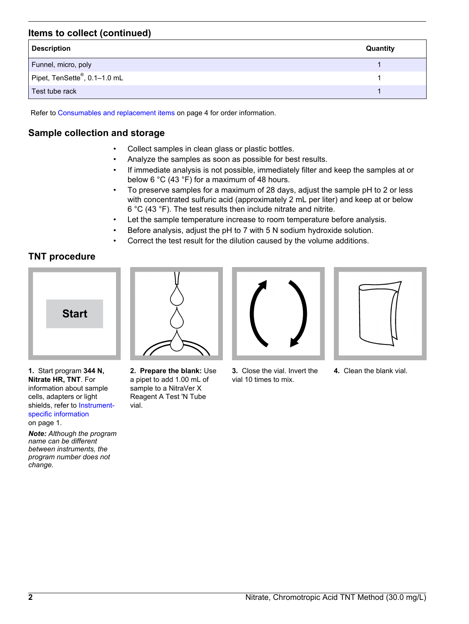# **Items to collect (continued)**

| <b>Description</b>           | Quantity |
|------------------------------|----------|
| Funnel, micro, poly          |          |
| Pipet, TenSette®, 0.1-1.0 mL |          |
| Test tube rack               |          |

Refer to [Consumables and replacement items](#page-3-0) on page 4 for order information.

## **Sample collection and storage**

- Collect samples in clean glass or plastic bottles.
- Analyze the samples as soon as possible for best results.
- If immediate analysis is not possible, immediately filter and keep the samples at or below 6 °C (43 °F) for a maximum of 48 hours.
- To preserve samples for a maximum of 28 days, adjust the sample pH to 2 or less with concentrated sulfuric acid (approximately 2 mL per liter) and keep at or below 6 °C (43 °F). The test results then include nitrate and nitrite.
- Let the sample temperature increase to room temperature before analysis.
- Before analysis, adjust the pH to 7 with 5 N sodium hydroxide solution.
- Correct the test result for the dilution caused by the volume additions.

# **TNT procedure**



**1.** Start program **344 N, Nitrate HR, TNT**. For information about sample cells, adapters or light shields, refer to [Instrument](#page-0-0)[specific information](#page-0-0)

on page 1.

*Note: Although the program name can be different between instruments, the program number does not change.*



**2. Prepare the blank:** Use a pipet to add 1.00 mL of sample to a NitraVer X Reagent A Test 'N Tube vial.



**3.** Close the vial. Invert the vial 10 times to mix.



**4.** Clean the blank vial.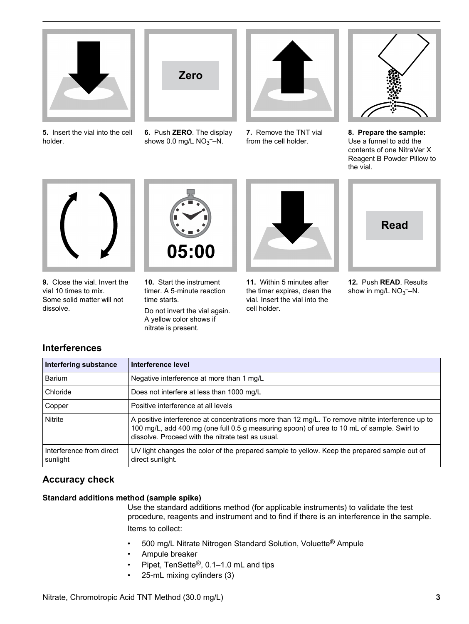

**5.** Insert the vial into the cell holder.



**6.** Push **ZERO**. The display shows  $0.0$  mg/L  $NO<sub>3</sub>$ –N.



**7.** Remove the TNT vial from the cell holder.



**8. Prepare the sample:** Use a funnel to add the contents of one NitraVer X Reagent B Powder Pillow to the vial.



**9.** Close the vial. Invert the vial 10 times to mix. Some solid matter will not dissolve.



**10.** Start the instrument timer. A 5‑minute reaction time starts.

Do not invert the vial again. A yellow color shows if nitrate is present.



**11.** Within 5 minutes after the timer expires, clean the vial. Insert the vial into the cell holder.



**12.** Push **READ**. Results show in mg/L  $NO<sub>3</sub>$ -N.

# **Interferences**

| Interfering substance                | Interference level                                                                                                                                                                                                                                   |
|--------------------------------------|------------------------------------------------------------------------------------------------------------------------------------------------------------------------------------------------------------------------------------------------------|
| Barium                               | Negative interference at more than 1 mg/L                                                                                                                                                                                                            |
| Chloride                             | Does not interfere at less than 1000 mg/L                                                                                                                                                                                                            |
| Copper                               | Positive interference at all levels                                                                                                                                                                                                                  |
| <b>Nitrite</b>                       | A positive interference at concentrations more than 12 mg/L. To remove nitrite interference up to<br>100 mg/L, add 400 mg (one full 0.5 g measuring spoon) of urea to 10 mL of sample. Swirl to<br>dissolve. Proceed with the nitrate test as usual. |
| Interference from direct<br>sunlight | UV light changes the color of the prepared sample to yellow. Keep the prepared sample out of<br>direct sunlight.                                                                                                                                     |

# **Accuracy check**

## **Standard additions method (sample spike)**

Use the standard additions method (for applicable instruments) to validate the test procedure, reagents and instrument and to find if there is an interference in the sample. Items to collect:

- 500 mg/L Nitrate Nitrogen Standard Solution, Voluette® Ampule
- Ampule breaker
- Pipet, TenSette®, 0.1–1.0 mL and tips
- 25-mL mixing cylinders (3)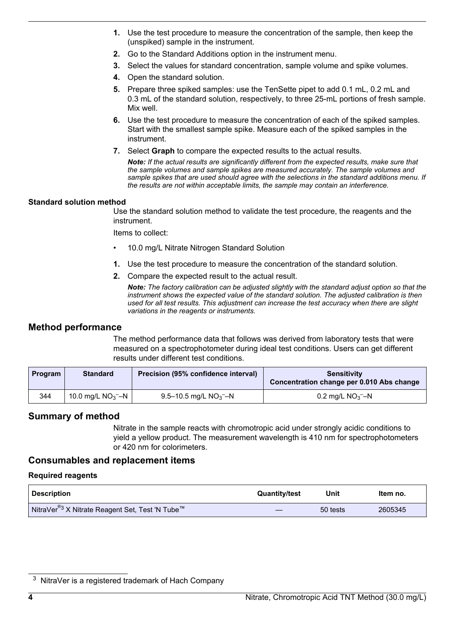- <span id="page-3-0"></span>**1.** Use the test procedure to measure the concentration of the sample, then keep the (unspiked) sample in the instrument.
- **2.** Go to the Standard Additions option in the instrument menu.
- **3.** Select the values for standard concentration, sample volume and spike volumes.
- **4.** Open the standard solution.
- **5.** Prepare three spiked samples: use the TenSette pipet to add 0.1 mL, 0.2 mL and 0.3 mL of the standard solution, respectively, to three 25-mL portions of fresh sample. Mix well.
- **6.** Use the test procedure to measure the concentration of each of the spiked samples. Start with the smallest sample spike. Measure each of the spiked samples in the instrument.
- **7.** Select **Graph** to compare the expected results to the actual results.

*Note: If the actual results are significantly different from the expected results, make sure that the sample volumes and sample spikes are measured accurately. The sample volumes and sample spikes that are used should agree with the selections in the standard additions menu. If the results are not within acceptable limits, the sample may contain an interference.*

#### **Standard solution method**

Use the standard solution method to validate the test procedure, the reagents and the instrument.

Items to collect:

- 10.0 mg/L Nitrate Nitrogen Standard Solution
- **1.** Use the test procedure to measure the concentration of the standard solution.
- **2.** Compare the expected result to the actual result.

*Note: The factory calibration can be adjusted slightly with the standard adjust option so that the instrument shows the expected value of the standard solution. The adjusted calibration is then used for all test results. This adjustment can increase the test accuracy when there are slight variations in the reagents or instruments.*

## **Method performance**

The method performance data that follows was derived from laboratory tests that were measured on a spectrophotometer during ideal test conditions. Users can get different results under different test conditions.

| <b>Program</b> | <b>Standard</b>                  | Precision (95% confidence interval)  | <b>Sensitivity</b><br>Concentration change per 0.010 Abs change |
|----------------|----------------------------------|--------------------------------------|-----------------------------------------------------------------|
| 344            | 10.0 mg/L $NO_3$ <sup>-</sup> -N | 9.5–10.5 mg/L $NO_3$ <sup>-</sup> –N | $0.2$ mg/L NO <sub>3</sub> --N                                  |

## **Summary of method**

Nitrate in the sample reacts with chromotropic acid under strongly acidic conditions to yield a yellow product. The measurement wavelength is 410 nm for spectrophotometers or 420 nm for colorimeters.

## **Consumables and replacement items**

#### **Required reagents**

| <b>Description</b>                              | <b>Quantity/test</b> | Unit     | ltem no. |
|-------------------------------------------------|----------------------|----------|----------|
| NitraVer®3 X Nitrate Reagent Set, Test 'N Tube™ |                      | 50 tests | 2605345  |

<sup>3</sup> NitraVer is a registered trademark of Hach Company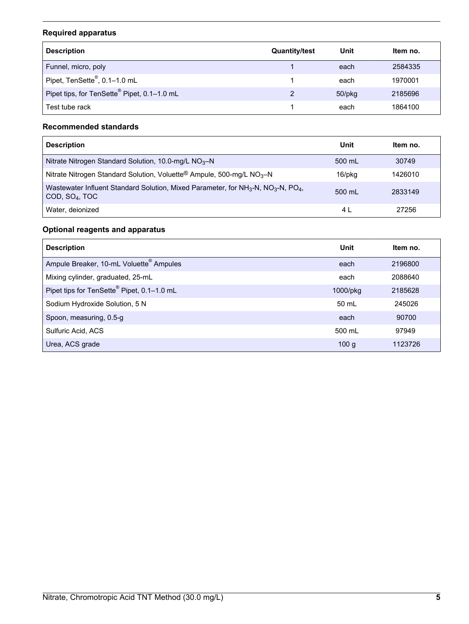# **Required apparatus**

| <b>Description</b>                          | <b>Quantity/test</b> | Unit         | Item no. |
|---------------------------------------------|----------------------|--------------|----------|
| Funnel, micro, poly                         |                      | each         | 2584335  |
| Pipet, TenSette®, 0.1-1.0 mL                |                      | each         | 1970001  |
| Pipet tips, for TenSette® Pipet, 0.1-1.0 mL |                      | $50$ /p $kg$ | 2185696  |
| Test tube rack                              |                      | each         | 1864100  |

# **Recommended standards**

| <b>Description</b>                                                                                                                                  | Unit   | ltem no. |
|-----------------------------------------------------------------------------------------------------------------------------------------------------|--------|----------|
| Nitrate Nitrogen Standard Solution, 10.0-mg/L $NO3–N$                                                                                               | 500 mL | 30749    |
| Nitrate Nitrogen Standard Solution, Voluette® Ampule, 500-mg/L NO <sub>3</sub> -N                                                                   | 16/pkg | 1426010  |
| Wastewater Influent Standard Solution, Mixed Parameter, for NH <sub>3</sub> -N, NO <sub>3</sub> -N, PO <sub>4</sub> ,<br>COD, SO <sub>4</sub> , TOC | 500 mL | 2833149  |
| Water, deionized                                                                                                                                    | 4 L    | 27256    |

# **Optional reagents and apparatus**

| <b>Description</b>                                  | Unit     | Item no. |
|-----------------------------------------------------|----------|----------|
| Ampule Breaker, 10-mL Voluette <sup>®</sup> Ampules | each     | 2196800  |
| Mixing cylinder, graduated, 25-mL                   | each     | 2088640  |
| Pipet tips for TenSette® Pipet, 0.1-1.0 mL          | 1000/pkg | 2185628  |
| Sodium Hydroxide Solution, 5 N                      | 50 mL    | 245026   |
| Spoon, measuring, 0.5-g                             | each     | 90700    |
| Sulfuric Acid, ACS                                  | 500 mL   | 97949    |
| Urea, ACS grade                                     | 100q     | 1123726  |